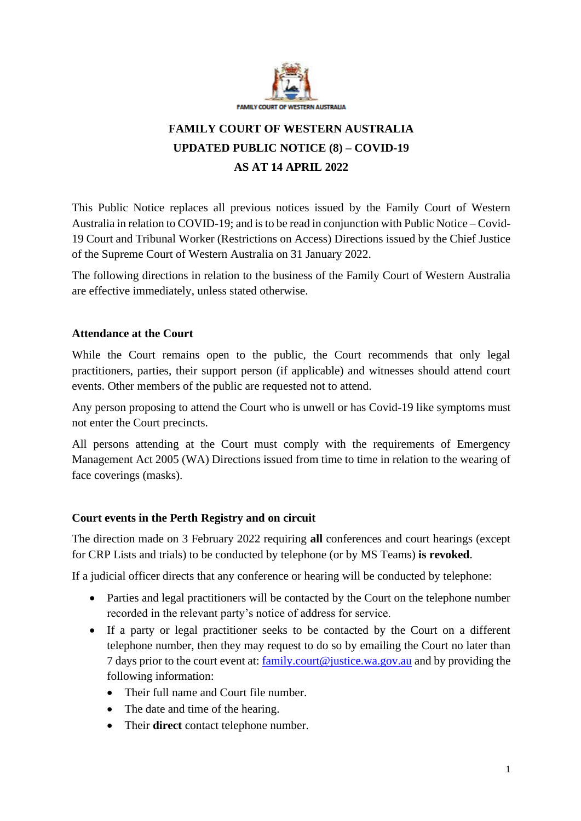

# **FAMILY COURT OF WESTERN AUSTRALIA UPDATED PUBLIC NOTICE (8) – COVID-19 AS AT 14 APRIL 2022**

This Public Notice replaces all previous notices issued by the Family Court of Western Australia in relation to COVID-19; and is to be read in conjunction with Public Notice – Covid-19 Court and Tribunal Worker (Restrictions on Access) Directions issued by the Chief Justice of the Supreme Court of Western Australia on 31 January 2022.

The following directions in relation to the business of the Family Court of Western Australia are effective immediately, unless stated otherwise.

#### **Attendance at the Court**

While the Court remains open to the public, the Court recommends that only legal practitioners, parties, their support person (if applicable) and witnesses should attend court events. Other members of the public are requested not to attend.

Any person proposing to attend the Court who is unwell or has Covid-19 like symptoms must not enter the Court precincts.

All persons attending at the Court must comply with the requirements of Emergency Management Act 2005 (WA) Directions issued from time to time in relation to the wearing of face coverings (masks).

## **Court events in the Perth Registry and on circuit**

The direction made on 3 February 2022 requiring **all** conferences and court hearings (except for CRP Lists and trials) to be conducted by telephone (or by MS Teams) **is revoked**.

If a judicial officer directs that any conference or hearing will be conducted by telephone:

- Parties and legal practitioners will be contacted by the Court on the telephone number recorded in the relevant party's notice of address for service.
- If a party or legal practitioner seeks to be contacted by the Court on a different telephone number, then they may request to do so by emailing the Court no later than 7 days prior to the court event at: [family.court@justice.wa.gov.au](mailto:family.court@justice.wa.gov.au) and by providing the following information:
	- Their full name and Court file number.
	- The date and time of the hearing.
	- Their **direct** contact telephone number.